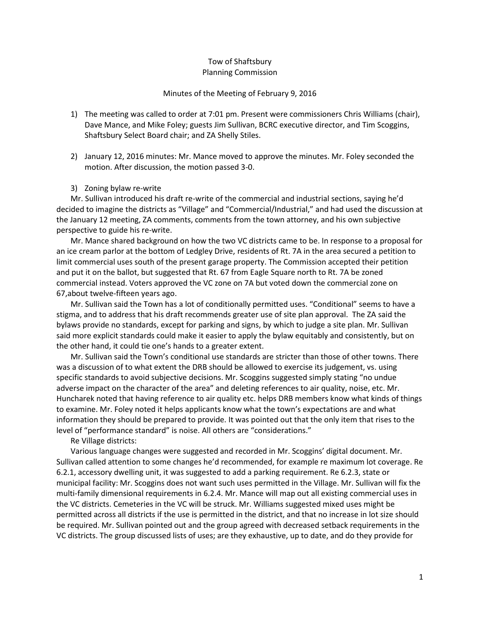## Tow of Shaftsbury Planning Commission

## Minutes of the Meeting of February 9, 2016

- 1) The meeting was called to order at 7:01 pm. Present were commissioners Chris Williams (chair), Dave Mance, and Mike Foley; guests Jim Sullivan, BCRC executive director, and Tim Scoggins, Shaftsbury Select Board chair; and ZA Shelly Stiles.
- 2) January 12, 2016 minutes: Mr. Mance moved to approve the minutes. Mr. Foley seconded the motion. After discussion, the motion passed 3-0.
- 3) Zoning bylaw re-write

Mr. Sullivan introduced his draft re-write of the commercial and industrial sections, saying he'd decided to imagine the districts as "Village" and "Commercial/Industrial," and had used the discussion at the January 12 meeting, ZA comments, comments from the town attorney, and his own subjective perspective to guide his re-write.

Mr. Mance shared background on how the two VC districts came to be. In response to a proposal for an ice cream parlor at the bottom of Ledgley Drive, residents of Rt. 7A in the area secured a petition to limit commercial uses south of the present garage property. The Commission accepted their petition and put it on the ballot, but suggested that Rt. 67 from Eagle Square north to Rt. 7A be zoned commercial instead. Voters approved the VC zone on 7A but voted down the commercial zone on 67,about twelve-fifteen years ago.

Mr. Sullivan said the Town has a lot of conditionally permitted uses. "Conditional" seems to have a stigma, and to address that his draft recommends greater use of site plan approval. The ZA said the bylaws provide no standards, except for parking and signs, by which to judge a site plan. Mr. Sullivan said more explicit standards could make it easier to apply the bylaw equitably and consistently, but on the other hand, it could tie one's hands to a greater extent.

Mr. Sullivan said the Town's conditional use standards are stricter than those of other towns. There was a discussion of to what extent the DRB should be allowed to exercise its judgement, vs. using specific standards to avoid subjective decisions. Mr. Scoggins suggested simply stating "no undue adverse impact on the character of the area" and deleting references to air quality, noise, etc. Mr. Huncharek noted that having reference to air quality etc. helps DRB members know what kinds of things to examine. Mr. Foley noted it helps applicants know what the town's expectations are and what information they should be prepared to provide. It was pointed out that the only item that rises to the level of "performance standard" is noise. All others are "considerations."

Re Village districts:

Various language changes were suggested and recorded in Mr. Scoggins' digital document. Mr. Sullivan called attention to some changes he'd recommended, for example re maximum lot coverage. Re 6.2.1, accessory dwelling unit, it was suggested to add a parking requirement. Re 6.2.3, state or municipal facility: Mr. Scoggins does not want such uses permitted in the Village. Mr. Sullivan will fix the multi-family dimensional requirements in 6.2.4. Mr. Mance will map out all existing commercial uses in the VC districts. Cemeteries in the VC will be struck. Mr. Williams suggested mixed uses might be permitted across all districts if the use is permitted in the district, and that no increase in lot size should be required. Mr. Sullivan pointed out and the group agreed with decreased setback requirements in the VC districts. The group discussed lists of uses; are they exhaustive, up to date, and do they provide for